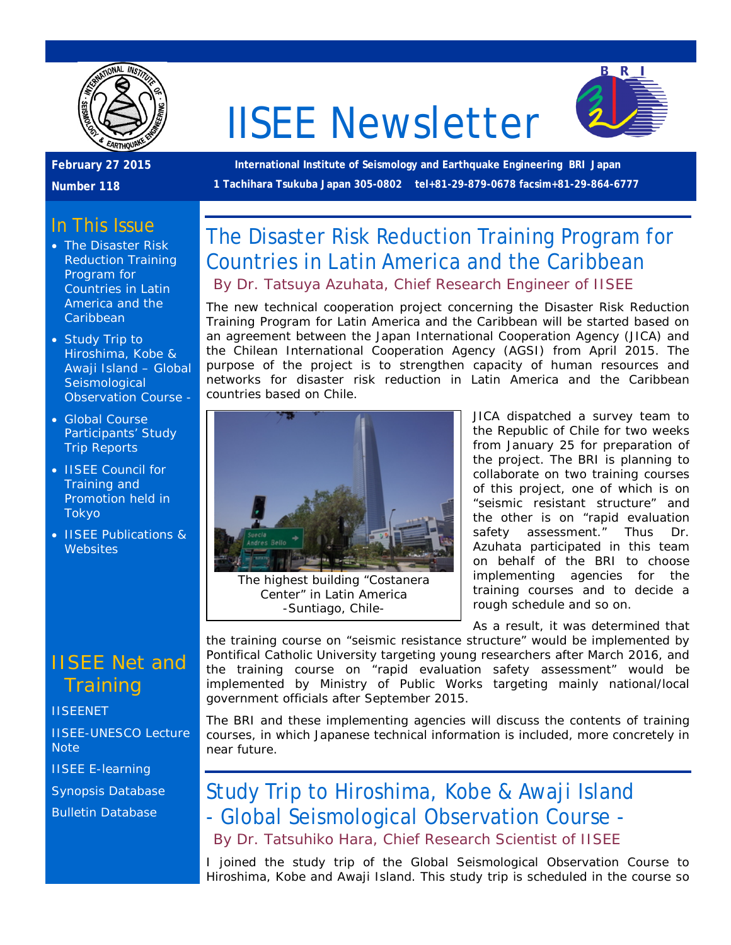

# IISEE Newsletter



**February 27 2015** 

#### **Number 118**

**International Institute of Seismology and Earthquake Engineering BRI Japan 1 Tachihara Tsukuba Japan 305-0802 tel+81-29-879-0678 facsim+81-29-864-6777**

## In This Issue

- The Disaster Risk Reduction Training Program for Countries in Latin America and the **Caribbean**
- Study Trip to Hiroshima, Kobe & Awaji Island – Global **Seismological** Observation Course -
- Global Course Participants' Study Trip Reports
- IISEE Council for Training and Promotion held in Tokyo
- **IISEE Publications & Websites**

## IISEE Net and **Training**

**[IISEENET](http://iisee.kenken.go.jp/net/)** 

[IISEE-UNESCO Lecture](http://iisee/lna/)  **[Note](http://iisee/lna/)** 

[IISEE E-learning](http://iisee/el/)

[Synopsis Database](http://iisee/syndb/)

[Bulletin Database](http://iisee/bltndb/)

The Disaster Risk Reduction Training Program for Countries in Latin America and the Caribbean *By Dr. Tatsuya Azuhata, Chief Research Engineer of IISEE*

The new technical cooperation project concerning the Disaster Risk Reduction Training Program for Latin America and the Caribbean will be started based on an agreement between the Japan International Cooperation Agency (JICA) and the Chilean International Cooperation Agency (AGSI) from April 2015. The purpose of the project is to strengthen capacity of human resources and networks for disaster risk reduction in Latin America and the Caribbean countries based on Chile.



The highest building "Costanera Center" in Latin America -Suntiago, Chile-

JICA dispatched a survey team to the Republic of Chile for two weeks from January 25 for preparation of the project. The BRI is planning to collaborate on two training courses of this project, one of which is on "seismic resistant structure" and the other is on "rapid evaluation safety assessment." Thus Dr. Azuhata participated in this team on behalf of the BRI to choose implementing agencies for the training courses and to decide a rough schedule and so on.

As a result, it was determined that

the training course on "seismic resistance structure" would be implemented by Pontifical Catholic University targeting young researchers after March 2016, and the training course on "rapid evaluation safety assessment" would be implemented by Ministry of Public Works targeting mainly national/local government officials after September 2015.

The BRI and these implementing agencies will discuss the contents of training courses, in which Japanese technical information is included, more concretely in near future.

# Study Trip to Hiroshima, Kobe & Awaji Island - Global Seismological Observation Course - *By Dr. Tatsuhiko Hara, Chief Research Scientist of IISEE*

I joined the study trip of the Global Seismological Observation Course to Hiroshima, Kobe and Awaji Island. This study trip is scheduled in the course so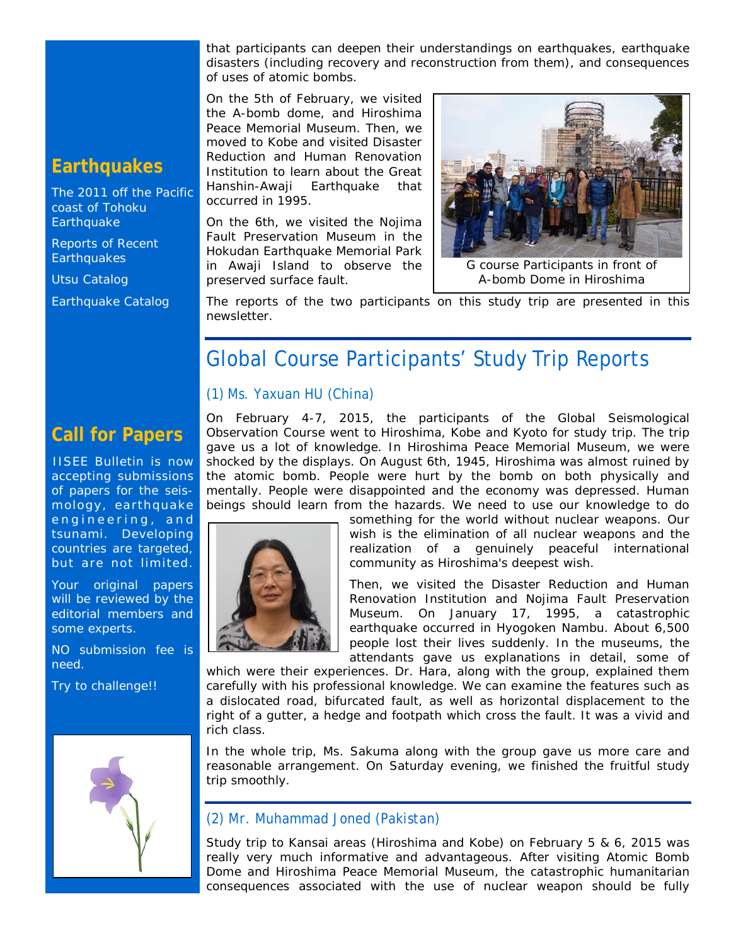that participants can deepen their understandings on earthquakes, earthquake disasters (including recovery and reconstruction from them), and consequences of uses of atomic bombs.

On the 5th of February, we visited the A-bomb dome, and Hiroshima Peace Memorial Museum. Then, we moved to Kobe and visited Disaster Reduction and Human Renovation Institution to learn about the Great Hanshin-Awaji Earthquake that occurred in 1995.

On the 6th, we visited the Nojima Fault Preservation Museum in the Hokudan Earthquake Memorial Park in Awaji Island to observe the preserved surface fault.



A-bomb Dome in Hiroshima

The reports of the two participants on this study trip are presented in this newsletter.

# Global Course Participants' Study Trip Reports

#### *(1) Ms. Yaxuan HU (China)*

**Call for Papers**

IISEE Bulletin is now accepting submissions of papers for the seismology, earthquake engineering, and tsunami. Developing countries are targeted, but are not limited.

Your original papers will be reviewed by the editorial members and some experts.

NO submission fee is need.

Try to challenge!!



On February 4-7, 2015, the participants of the Global Seismological Observation Course went to Hiroshima, Kobe and Kyoto for study trip. The trip gave us a lot of knowledge. In Hiroshima Peace Memorial Museum, we were shocked by the displays. On August 6th, 1945, Hiroshima was almost ruined by the atomic bomb. People were hurt by the bomb on both physically and mentally. People were disappointed and the economy was depressed. Human beings should learn from the hazards. We need to use our knowledge to do



something for the world without nuclear weapons. Our wish is the elimination of all nuclear weapons and the realization of a genuinely peaceful international community as Hiroshima's deepest wish.

Then, we visited the Disaster Reduction and Human Renovation Institution and Nojima Fault Preservation Museum. On January 17, 1995, a catastrophic earthquake occurred in Hyogoken Nambu. About 6,500 people lost their lives suddenly. In the museums, the attendants gave us explanations in detail, some of

which were their experiences. Dr. Hara, along with the group, explained them carefully with his professional knowledge. We can examine the features such as a dislocated road, bifurcated fault, as well as horizontal displacement to the right of a gutter, a hedge and footpath which cross the fault. It was a vivid and rich class.

In the whole trip, Ms. Sakuma along with the group gave us more care and reasonable arrangement. On Saturday evening, we finished the fruitful study trip smoothly.

#### *(2) Mr. Muhammad Joned (Pakistan)*

Study trip to Kansai areas (Hiroshima and Kobe) on February 5 & 6, 2015 was really very much informative and advantageous. After visiting Atomic Bomb Dome and Hiroshima Peace Memorial Museum, the catastrophic humanitarian consequences associated with the use of nuclear weapon should be fully

## **Earthquakes**

[The 2011 off the](http://iisee/special2/20110311tohoku.htm) Pacific [coast of Tohoku](http://iisee/special2/20110311tohoku.htm)  **[Earthquake](http://iisee/special2/20110311tohoku.htm)** 

[Reports of Recent](http://iisee/quakes.htm)  **[Earthquakes](http://iisee/quakes.htm)** 

[Utsu Catalog](http://iisee/utsu/index_eng.html)

[Earthquake Catalog](http://iisee/eqcat/Top_page_en.htm)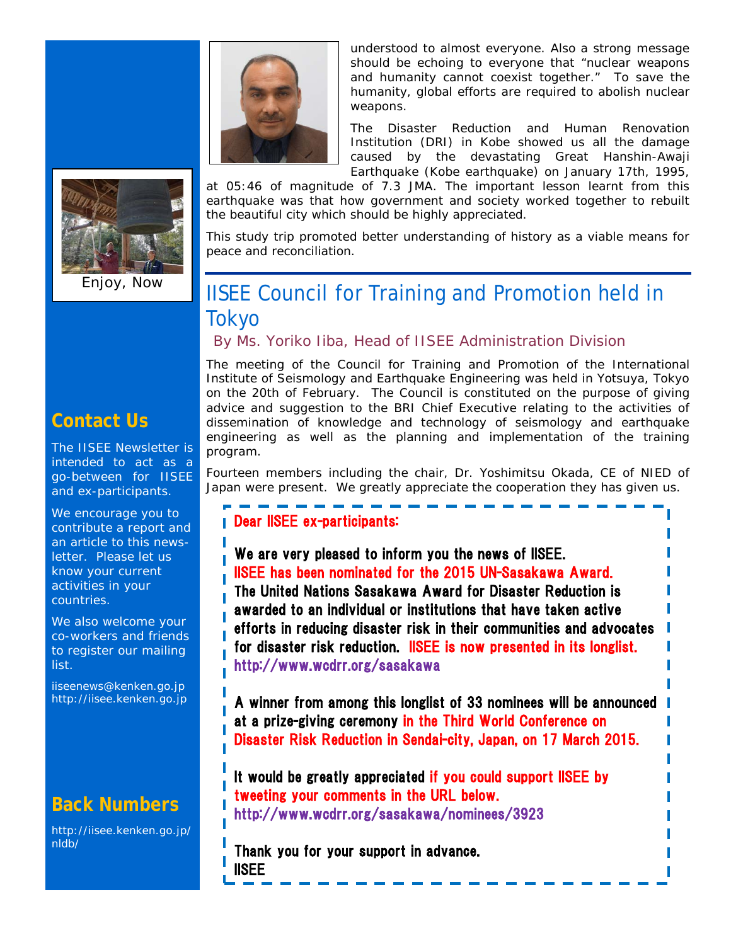



Enjoy, Now

understood to almost everyone. Also a strong message should be echoing to everyone that "nuclear weapons and humanity cannot coexist together." To save the humanity, global efforts are required to abolish nuclear weapons.

The Disaster Reduction and Human Renovation Institution (DRI) in Kobe showed us all the damage caused by the devastating Great Hanshin-Awaji Earthquake (Kobe earthquake) on January 17th, 1995,

at 05:46 of magnitude of 7.3 JMA. The important lesson learnt from this earthquake was that how government and society worked together to rebuilt the beautiful city which should be highly appreciated.

This study trip promoted better understanding of history as a viable means for peace and reconciliation.

# IISEE Council for Training and Promotion held in **Tokyo**

*By Ms. Yoriko Iiba, Head of IISEE Administration Division*

The meeting of the Council for Training and Promotion of the International Institute of Seismology and Earthquake Engineering was held in Yotsuya, Tokyo on the 20th of February. The Council is constituted on the purpose of giving advice and suggestion to the BRI Chief Executive relating to the activities of dissemination of knowledge and technology of seismology and earthquake engineering as well as the planning and implementation of the training program.

Fourteen members including the chair, Dr. Yoshimitsu Okada, CE of NIED of Japan were present. We greatly appreciate the cooperation they has given us.

## Dear IISEE ex-participants:

We are very pleased to inform you the news of IISEE. IISEE has been nominated for the 2015 UN-Sasakawa Award. The United Nations Sasakawa Award for Disaster Reduction is awarded to an individual or institutions that have taken active efforts in reducing disaster risk in their communities and advocates for disaster risk reduction. ISEE is now presented in its longlist. http://www.wcdrr.org/sasakawa

A winner from among this longlist of 33 nominees will be announced I at a prize-giving ceremony in the Third World Conference on Disaster Risk Reduction in Sendai-city, Japan, on 17 March 2015.

It would be greatly appreciated if you could support IISEE by tweeting your comments in the URL below. http://www.wcdrr.org/sasakawa/nominees/3923

Thank you for your support in advance. IISEE

## **Contact Us**

The IISEE Newsletter is intended to act as a go-between for IISEE and ex-participants.

We encourage you to contribute a report and an article to this newsletter. Please let us know your current activities in your countries.

We also welcome your co-workers and friends to register our mailing list.

iiseenews@kenken.go.jp [http://iisee.kenken.go.jp](http://iisee.kenken.go.jp/)

## **Back Numbers**

[http://iisee.kenken.go.jp/](http://iisee.kenken.go.jp/nldb/) [nldb/](http://iisee.kenken.go.jp/nldb/)